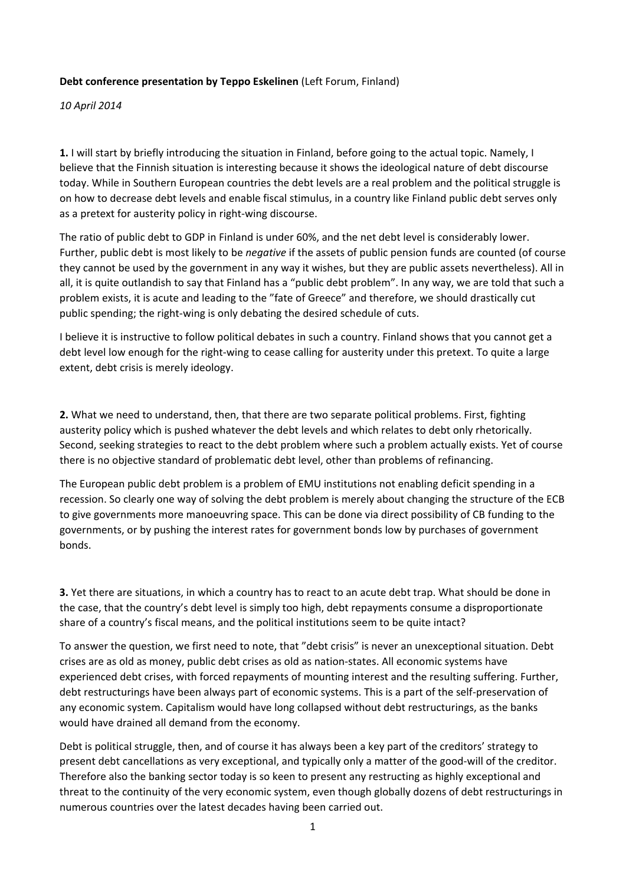## **Debt conference presentation by Teppo Eskelinen** (Left Forum, Finland)

*10 April 2014*

**1.** I will start by briefly introducing the situation in Finland, before going to the actual topic. Namely, I believe that the Finnish situation is interesting because it shows the ideological nature of debt discourse today. While in Southern European countries the debt levels are a real problem and the political struggle is on how to decrease debt levels and enable fiscal stimulus, in a country like Finland public debt serves only as a pretext for austerity policy in right‐wing discourse.

The ratio of public debt to GDP in Finland is under 60%, and the net debt level is considerably lower. Further, public debt is most likely to be *negative* if the assets of public pension funds are counted (of course they cannot be used by the government in any way it wishes, but they are public assets nevertheless). All in all, it is quite outlandish to say that Finland has a "public debt problem". In any way, we are told that such a problem exists, it is acute and leading to the "fate of Greece" and therefore, we should drastically cut public spending; the right‐wing is only debating the desired schedule of cuts.

I believe it is instructive to follow political debates in such a country. Finland shows that you cannot get a debt level low enough for the right-wing to cease calling for austerity under this pretext. To quite a large extent, debt crisis is merely ideology.

**2.** What we need to understand, then, that there are two separate political problems. First, fighting austerity policy which is pushed whatever the debt levels and which relates to debt only rhetorically. Second, seeking strategies to react to the debt problem where such a problem actually exists. Yet of course there is no objective standard of problematic debt level, other than problems of refinancing.

The European public debt problem is a problem of EMU institutions not enabling deficit spending in a recession. So clearly one way of solving the debt problem is merely about changing the structure of the ECB to give governments more manoeuvring space. This can be done via direct possibility of CB funding to the governments, or by pushing the interest rates for government bonds low by purchases of government bonds.

**3.** Yet there are situations, in which a country has to react to an acute debt trap. What should be done in the case, that the country's debt level is simply too high, debt repayments consume a disproportionate share of a country's fiscal means, and the political institutions seem to be quite intact?

To answer the question, we first need to note, that "debt crisis" is never an unexceptional situation. Debt crises are as old as money, public debt crises as old as nation‐states. All economic systems have experienced debt crises, with forced repayments of mounting interest and the resulting suffering. Further, debt restructurings have been always part of economic systems. This is a part of the self‐preservation of any economic system. Capitalism would have long collapsed without debt restructurings, as the banks would have drained all demand from the economy.

Debt is political struggle, then, and of course it has always been a key part of the creditors' strategy to present debt cancellations as very exceptional, and typically only a matter of the good‐will of the creditor. Therefore also the banking sector today is so keen to present any restructing as highly exceptional and threat to the continuity of the very economic system, even though globally dozens of debt restructurings in numerous countries over the latest decades having been carried out.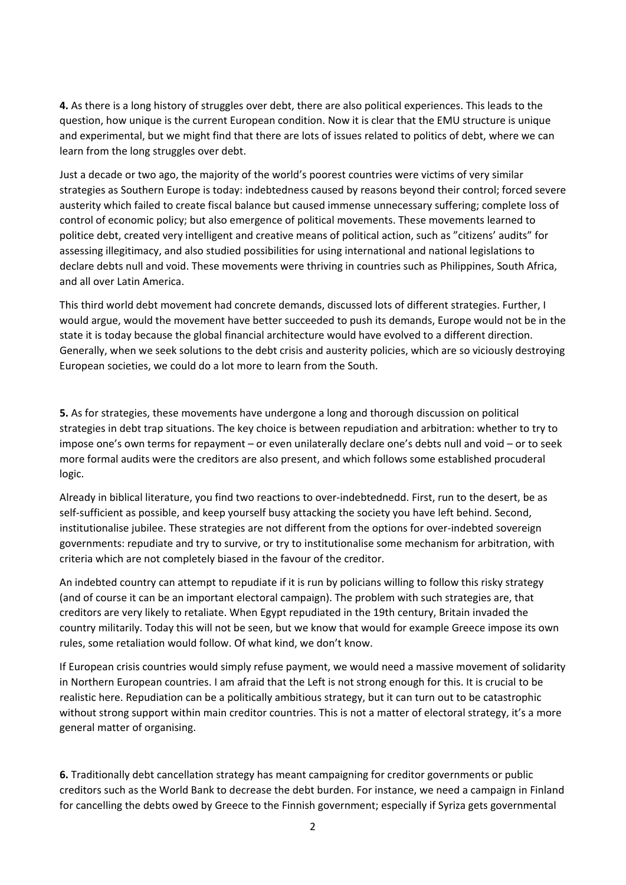**4.** As there is a long history of struggles over debt, there are also political experiences. This leads to the question, how unique is the current European condition. Now it is clear that the EMU structure is unique and experimental, but we might find that there are lots of issues related to politics of debt, where we can learn from the long struggles over debt.

Just a decade or two ago, the majority of the world's poorest countries were victims of very similar strategies as Southern Europe is today: indebtedness caused by reasons beyond their control; forced severe austerity which failed to create fiscal balance but caused immense unnecessary suffering; complete loss of control of economic policy; but also emergence of political movements. These movements learned to politice debt, created very intelligent and creative means of political action, such as "citizens' audits" for assessing illegitimacy, and also studied possibilities for using international and national legislations to declare debts null and void. These movements were thriving in countries such as Philippines, South Africa, and all over Latin America.

This third world debt movement had concrete demands, discussed lots of different strategies. Further, I would argue, would the movement have better succeeded to push its demands, Europe would not be in the state it is today because the global financial architecture would have evolved to a different direction. Generally, when we seek solutions to the debt crisis and austerity policies, which are so viciously destroying European societies, we could do a lot more to learn from the South.

**5.** As for strategies, these movements have undergone a long and thorough discussion on political strategies in debt trap situations. The key choice is between repudiation and arbitration: whether to try to impose one's own terms for repayment – or even unilaterally declare one's debts null and void – or to seek more formal audits were the creditors are also present, and which follows some established procuderal logic.

Already in biblical literature, you find two reactions to over‐indebtednedd. First, run to the desert, be as self-sufficient as possible, and keep yourself busy attacking the society you have left behind. Second, institutionalise jubilee. These strategies are not different from the options for over-indebted sovereign governments: repudiate and try to survive, or try to institutionalise some mechanism for arbitration, with criteria which are not completely biased in the favour of the creditor.

An indebted country can attempt to repudiate if it is run by policians willing to follow this risky strategy (and of course it can be an important electoral campaign). The problem with such strategies are, that creditors are very likely to retaliate. When Egypt repudiated in the 19th century, Britain invaded the country militarily. Today this will not be seen, but we know that would for example Greece impose its own rules, some retaliation would follow. Of what kind, we don't know.

If European crisis countries would simply refuse payment, we would need a massive movement of solidarity in Northern European countries. I am afraid that the Left is not strong enough for this. It is crucial to be realistic here. Repudiation can be a politically ambitious strategy, but it can turn out to be catastrophic without strong support within main creditor countries. This is not a matter of electoral strategy, it's a more general matter of organising.

**6.** Traditionally debt cancellation strategy has meant campaigning for creditor governments or public creditors such as the World Bank to decrease the debt burden. For instance, we need a campaign in Finland for cancelling the debts owed by Greece to the Finnish government; especially if Syriza gets governmental